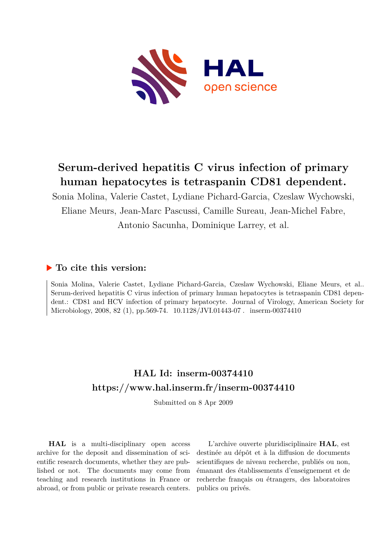

# **Serum-derived hepatitis C virus infection of primary human hepatocytes is tetraspanin CD81 dependent.**

Sonia Molina, Valerie Castet, Lydiane Pichard-Garcia, Czeslaw Wychowski, Eliane Meurs, Jean-Marc Pascussi, Camille Sureau, Jean-Michel Fabre, Antonio Sacunha, Dominique Larrey, et al.

### **To cite this version:**

Sonia Molina, Valerie Castet, Lydiane Pichard-Garcia, Czeslaw Wychowski, Eliane Meurs, et al.. Serum-derived hepatitis C virus infection of primary human hepatocytes is tetraspanin CD81 dependent.: CD81 and HCV infection of primary hepatocyte. Journal of Virology, American Society for Microbiology, 2008, 82 (1), pp.569-74. 10.1128/JVI.01443-07. inserm-00374410

### **HAL Id: inserm-00374410 <https://www.hal.inserm.fr/inserm-00374410>**

Submitted on 8 Apr 2009

**HAL** is a multi-disciplinary open access archive for the deposit and dissemination of scientific research documents, whether they are published or not. The documents may come from teaching and research institutions in France or abroad, or from public or private research centers.

L'archive ouverte pluridisciplinaire **HAL**, est destinée au dépôt et à la diffusion de documents scientifiques de niveau recherche, publiés ou non, émanant des établissements d'enseignement et de recherche français ou étrangers, des laboratoires publics ou privés.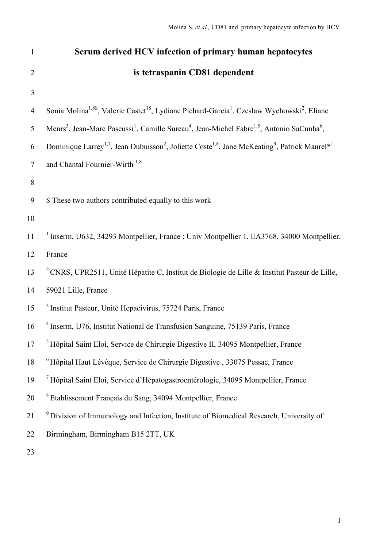| $\mathbf{1}$   | Serum derived HCV infection of primary human hepatocytes                                                                                                   |
|----------------|------------------------------------------------------------------------------------------------------------------------------------------------------------|
| $\overline{2}$ | is tetraspanin CD81 dependent                                                                                                                              |
| 3              |                                                                                                                                                            |
| $\overline{4}$ | Sonia Molina <sup>1,88</sup> , Valerie Castet <sup>18</sup> , Lydiane Pichard-Garcia <sup>1</sup> , Czeslaw Wychowski <sup>2</sup> , Eliane                |
| 5              | Meurs <sup>3</sup> , Jean-Marc Pascussi <sup>1</sup> , Camille Sureau <sup>4</sup> , Jean-Michel Fabre <sup>1,5</sup> , Antonio SaCunha <sup>6</sup> ,     |
| 6              | Dominique Larrey <sup>1,7</sup> , Jean Dubuisson <sup>2</sup> , Joliette Coste <sup>1,8</sup> , Jane McKeating <sup>9</sup> , Patrick Maurel <sup>*1</sup> |
| $\tau$         | and Chantal Fournier-Wirth <sup>1,8</sup>                                                                                                                  |
| 8              |                                                                                                                                                            |
| 9              | \$ These two authors contributed equally to this work                                                                                                      |
| 10             |                                                                                                                                                            |
| 11             | <sup>1</sup> Inserm, U632, 34293 Montpellier, France ; Univ Montpellier 1, EA3768, 34000 Montpellier,                                                      |
| 12             | France                                                                                                                                                     |
| 13             | <sup>2</sup> CNRS, UPR2511, Unité Hépatite C, Institut de Biologie de Lille & Institut Pasteur de Lille,                                                   |
| 14             | 59021 Lille, France                                                                                                                                        |
| 15             | <sup>3</sup> Institut Pasteur, Unité Hepacivirus, 75724 Paris, France                                                                                      |
| 16             | <sup>4</sup> Inserm, U76, Institut National de Transfusion Sanguine, 75139 Paris, France                                                                   |
| 17             | <sup>5</sup> Hôpital Saint Eloi, Service de Chirurgie Digestive II, 34095 Montpellier, France                                                              |
| 18             | <sup>6</sup> Hôpital Haut Lévèque, Service de Chirurgie Digestive, 33075 Pessac, France                                                                    |
| 19             | <sup>7</sup> Hôpital Saint Eloi, Service d'Hépatogastroentérologie, 34095 Montpellier, France                                                              |
| 20             | <sup>8</sup> Etablissement Français du Sang, 34094 Montpellier, France                                                                                     |
| 21             | <sup>9</sup> Division of Immunology and Infection, Institute of Biomedical Research, University of                                                         |
| 22             | Birmingham, Birmingham B15 2TT, UK                                                                                                                         |
| 23             |                                                                                                                                                            |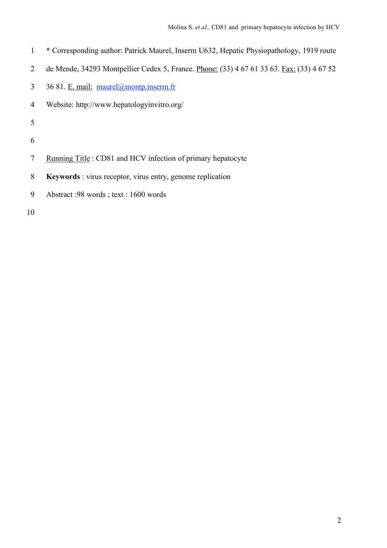- **\*** Corresponding author: Patrick Maurel, Inserm U632, Hepatic Physiopathology, 1919 route
- de Mende, 34293 Montpellier Cedex 5, France. Phone: (33) 4 67 61 33 63. Fax: (33) 4 67 52
- 36 81. E. mail: maurel@montp.inserm.fr
- Website: http://www.hepatologyinvitro.org/
- 
- 
- Running Title : CD81 and HCV infection of primary hepatocyte
- **Keywords** : virus receptor, virus entry, genome replication
- Abstract :98 words ; text : 1600 words
-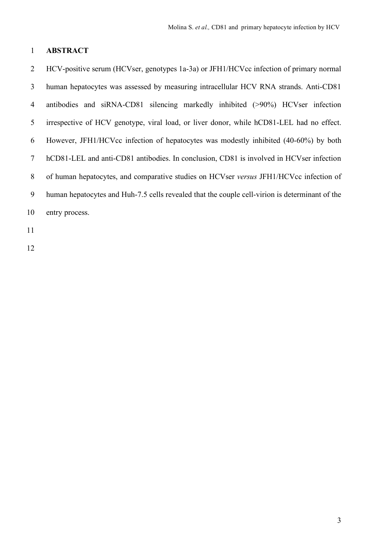### **ABSTRACT**

 HCV-positive serum (HCVser, genotypes 1a-3a) or JFH1/HCVcc infection of primary normal human hepatocytes was assessed by measuring intracellular HCV RNA strands. Anti-CD81 antibodies and siRNA-CD81 silencing markedly inhibited (>90%) HCVser infection irrespective of HCV genotype, viral load, or liver donor, while hCD81-LEL had no effect. However, JFH1/HCVcc infection of hepatocytes was modestly inhibited (40-60%) by both hCD81-LEL and anti-CD81 antibodies. In conclusion, CD81 is involved in HCVser infection of human hepatocytes, and comparative studies on HCVser *versus* JFH1/HCVcc infection of human hepatocytes and Huh-7.5 cells revealed that the couple cell-virion is determinant of the entry process.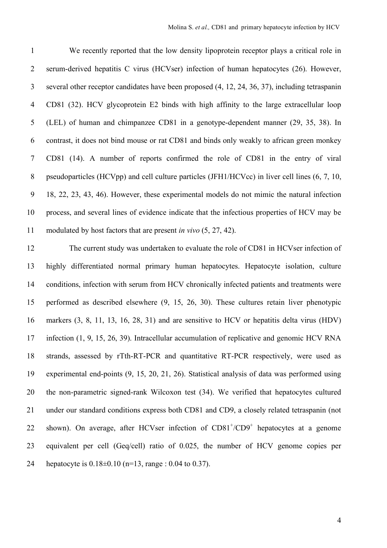We recently reported that the low density lipoprotein receptor plays a critical role in serum-derived hepatitis C virus (HCVser) infection of human hepatocytes (26). However, several other receptor candidates have been proposed (4, 12, 24, 36, 37), including tetraspanin CD81 (32). HCV glycoprotein E2 binds with high affinity to the large extracellular loop (LEL) of human and chimpanzee CD81 in a genotype-dependent manner (29, 35, 38). In contrast, it does not bind mouse or rat CD81 and binds only weakly to african green monkey CD81 (14). A number of reports confirmed the role of CD81 in the entry of viral 8 pseudoparticles (HCVpp) and cell culture particles (JFH1/HCVcc) in liver cell lines (6, 7, 10, 18, 22, 23, 43, 46). However, these experimental models do not mimic the natural infection process, and several lines of evidence indicate that the infectious properties of HCV may be modulated by host factors that are present *in vivo* (5, 27, 42).

 The current study was undertaken to evaluate the role of CD81 in HCVser infection of highly differentiated normal primary human hepatocytes. Hepatocyte isolation, culture conditions, infection with serum from HCV chronically infected patients and treatments were performed as described elsewhere (9, 15, 26, 30). These cultures retain liver phenotypic markers (3, 8, 11, 13, 16, 28, 31) and are sensitive to HCV or hepatitis delta virus (HDV) infection (1, 9, 15, 26, 39). Intracellular accumulation of replicative and genomic HCV RNA strands, assessed by rTth-RT-PCR and quantitative RT-PCR respectively, were used as experimental end-points (9, 15, 20, 21, 26). Statistical analysis of data was performed using the non-parametric signed-rank Wilcoxon test (34). We verified that hepatocytes cultured 21 under our standard conditions express both CD81 and CD9, a closely related tetraspanin (not 22 shown). On average, after HCVser infection of CD81<sup>+</sup>/CD9<sup>+</sup> hepatocytes at a genome equivalent per cell (Geq/cell) ratio of 0.025, the number of HCV genome copies per hepatocyte is 0.18±0.10 (n=13, range : 0.04 to 0.37).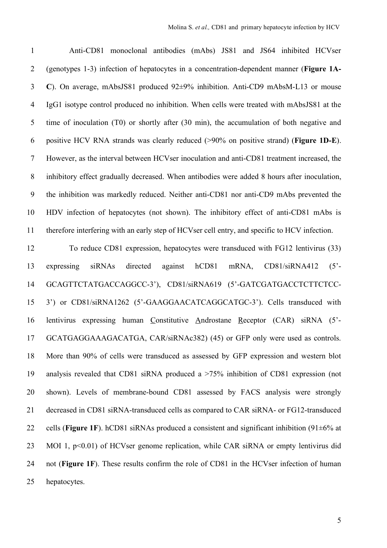Anti-CD81 monoclonal antibodies (mAbs) JS81 and JS64 inhibited HCVser (genotypes 1-3) infection of hepatocytes in a concentration-dependent manner (**Figure 1A- C**). On average, mAbsJS81 produced 92±9% inhibition. Anti-CD9 mAbsM-L13 or mouse IgG1 isotype control produced no inhibition. When cells were treated with mAbsJS81 at the time of inoculation (T0) or shortly after (30 min), the accumulation of both negative and positive HCV RNA strands was clearly reduced (>90% on positive strand) (**Figure 1D-E**). However, as the interval between HCVser inoculation and anti-CD81 treatment increased, the inhibitory effect gradually decreased. When antibodies were added 8 hours after inoculation, the inhibition was markedly reduced. Neither anti-CD81 nor anti-CD9 mAbs prevented the HDV infection of hepatocytes (not shown). The inhibitory effect of anti-CD81 mAbs is therefore interfering with an early step of HCVser cell entry, and specific to HCV infection.

 To reduce CD81 expression, hepatocytes were transduced with FG12 lentivirus (33) expressing siRNAs directed against hCD81 mRNA, CD81/siRNA412 (5'- GCAGTTCTATGACCAGGCC-3'), CD81/siRNA619 (5'-GATCGATGACCTCTTCTCC- 3') or CD81/siRNA1262 (5'-GAAGGAACATCAGGCATGC-3'). Cells transduced with lentivirus expressing human Constitutive Androstane Receptor (CAR) siRNA (5'- GCATGAGGAAAGACATGA, CAR/siRNAc382) (45) or GFP only were used as controls. More than 90% of cells were transduced as assessed by GFP expression and western blot analysis revealed that CD81 siRNA produced a >75% inhibition of CD81 expression (not shown). Levels of membrane-bound CD81 assessed by FACS analysis were strongly decreased in CD81 siRNA-transduced cells as compared to CAR siRNA- or FG12-transduced cells (**Figure 1F**). hCD81 siRNAs produced a consistent and significant inhibition (91±6% at 23 MOI 1, p<0.01) of HCVser genome replication, while CAR siRNA or empty lentivirus did not (**Figure 1F**). These results confirm the role of CD81 in the HCVser infection of human hepatocytes.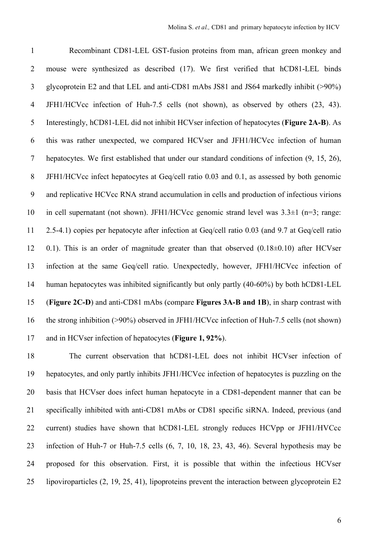Recombinant CD81-LEL GST-fusion proteins from man, african green monkey and mouse were synthesized as described (17). We first verified that hCD81-LEL binds glycoprotein E2 and that LEL and anti-CD81 mAbs JS81 and JS64 markedly inhibit (>90%) JFH1/HCVcc infection of Huh-7.5 cells (not shown), as observed by others (23, 43). Interestingly, hCD81-LEL did not inhibit HCVser infection of hepatocytes (**Figure 2A-B**). As this was rather unexpected, we compared HCVser and JFH1/HCVcc infection of human hepatocytes. We first established that under our standard conditions of infection (9, 15, 26), JFH1/HCVcc infect hepatocytes at Geq/cell ratio 0.03 and 0.1, as assessed by both genomic and replicative HCVcc RNA strand accumulation in cells and production of infectious virions in cell supernatant (not shown). JFH1/HCVcc genomic strand level was 3.3±1 (n=3; range: 2.5-4.1) copies per hepatocyte after infection at Geq/cell ratio 0.03 (and 9.7 at Geq/cell ratio 0.1). This is an order of magnitude greater than that observed (0.18±0.10) after HCVser infection at the same Geq/cell ratio. Unexpectedly, however, JFH1/HCVcc infection of human hepatocytes was inhibited significantly but only partly (40-60%) by both hCD81-LEL (**Figure 2C-D**) and anti-CD81 mAbs (compare **Figures 3A-B and 1B**), in sharp contrast with the strong inhibition (>90%) observed in JFH1/HCVcc infection of Huh-7.5 cells (not shown) and in HCVser infection of hepatocytes (**Figure 1, 92%**).

 The current observation that hCD81-LEL does not inhibit HCVser infection of hepatocytes, and only partly inhibits JFH1/HCVcc infection of hepatocytes is puzzling on the basis that HCVser does infect human hepatocyte in a CD81-dependent manner that can be specifically inhibited with anti-CD81 mAbs or CD81 specific siRNA. Indeed, previous (and current) studies have shown that hCD81-LEL strongly reduces HCVpp or JFH1/HVCcc infection of Huh-7 or Huh-7.5 cells (6, 7, 10, 18, 23, 43, 46). Several hypothesis may be proposed for this observation. First, it is possible that within the infectious HCVser lipoviroparticles (2, 19, 25, 41), lipoproteins prevent the interaction between glycoprotein E2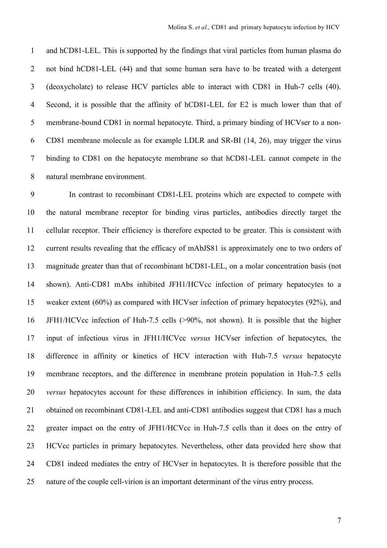and hCD81-LEL. This is supported by the findings that viral particles from human plasma do not bind hCD81-LEL (44) and that some human sera have to be treated with a detergent (deoxycholate) to release HCV particles able to interact with CD81 in Huh-7 cells (40). Second, it is possible that the affinity of hCD81-LEL for E2 is much lower than that of membrane-bound CD81 in normal hepatocyte. Third, a primary binding of HCVser to a non- CD81 membrane molecule as for example LDLR and SR-BI (14, 26), may trigger the virus binding to CD81 on the hepatocyte membrane so that hCD81-LEL cannot compete in the natural membrane environment.

 In contrast to recombinant CD81-LEL proteins which are expected to compete with the natural membrane receptor for binding virus particles, antibodies directly target the cellular receptor. Their efficiency is therefore expected to be greater. This is consistent with current results revealing that the efficacy of mAbJS81 is approximately one to two orders of magnitude greater than that of recombinant hCD81-LEL, on a molar concentration basis (not shown). Anti-CD81 mAbs inhibited JFH1/HCVcc infection of primary hepatocytes to a weaker extent (60%) as compared with HCVser infection of primary hepatocytes (92%), and JFH1/HCVcc infection of Huh-7.5 cells (>90%, not shown). It is possible that the higher input of infectious virus in JFH1/HCVcc *versus* HCVser infection of hepatocytes, the difference in affinity or kinetics of HCV interaction with Huh-7.5 *versus* hepatocyte membrane receptors, and the difference in membrane protein population in Huh-7.5 cells *versus* hepatocytes account for these differences in inhibition efficiency. In sum, the data obtained on recombinant CD81-LEL and anti-CD81 antibodies suggest that CD81 has a much greater impact on the entry of JFH1/HCVcc in Huh-7.5 cells than it does on the entry of HCVcc particles in primary hepatocytes. Nevertheless, other data provided here show that CD81 indeed mediates the entry of HCVser in hepatocytes. It is therefore possible that the nature of the couple cell-virion is an important determinant of the virus entry process.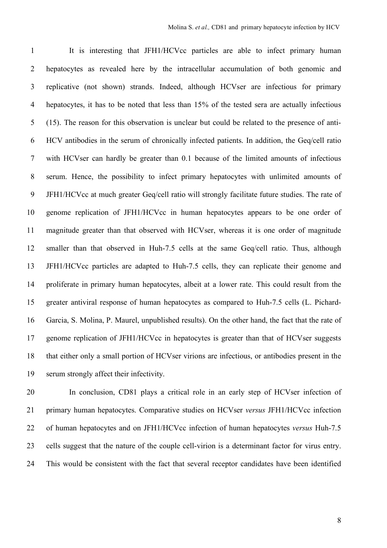It is interesting that JFH1/HCVcc particles are able to infect primary human hepatocytes as revealed here by the intracellular accumulation of both genomic and replicative (not shown) strands. Indeed, although HCVser are infectious for primary hepatocytes, it has to be noted that less than 15% of the tested sera are actually infectious (15). The reason for this observation is unclear but could be related to the presence of anti- HCV antibodies in the serum of chronically infected patients. In addition, the Geq/cell ratio with HCVser can hardly be greater than 0.1 because of the limited amounts of infectious serum. Hence, the possibility to infect primary hepatocytes with unlimited amounts of JFH1/HCVcc at much greater Geq/cell ratio will strongly facilitate future studies. The rate of genome replication of JFH1/HCVcc in human hepatocytes appears to be one order of magnitude greater than that observed with HCVser, whereas it is one order of magnitude smaller than that observed in Huh-7.5 cells at the same Geq/cell ratio. Thus, although JFH1/HCVcc particles are adapted to Huh-7.5 cells, they can replicate their genome and proliferate in primary human hepatocytes, albeit at a lower rate. This could result from the greater antiviral response of human hepatocytes as compared to Huh-7.5 cells (L. Pichard- Garcia, S. Molina, P. Maurel, unpublished results). On the other hand, the fact that the rate of genome replication of JFH1/HCVcc in hepatocytes is greater than that of HCVser suggests that either only a small portion of HCVser virions are infectious, or antibodies present in the serum strongly affect their infectivity.

 In conclusion, CD81 plays a critical role in an early step of HCVser infection of primary human hepatocytes. Comparative studies on HCVser *versus* JFH1/HCVcc infection of human hepatocytes and on JFH1/HCVcc infection of human hepatocytes *versus* Huh-7.5 cells suggest that the nature of the couple cell-virion is a determinant factor for virus entry. This would be consistent with the fact that several receptor candidates have been identified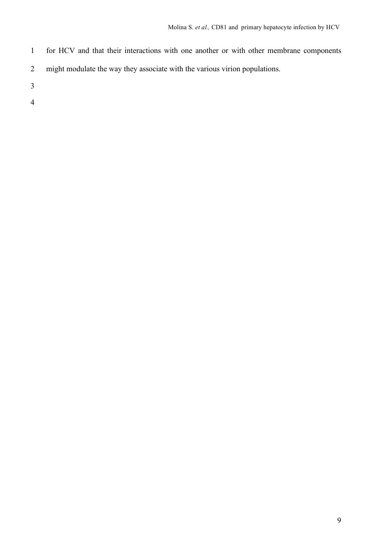- for HCV and that their interactions with one another or with other membrane components
- might modulate the way they associate with the various virion populations.
- 
- 
-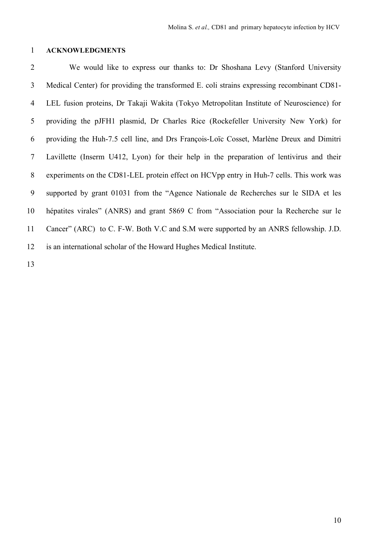#### **ACKNOWLEDGMENTS**

 We would like to express our thanks to: Dr Shoshana Levy (Stanford University Medical Center) for providing the transformed E. coli strains expressing recombinant CD81- LEL fusion proteins, Dr Takaji Wakita (Tokyo Metropolitan Institute of Neuroscience) for providing the pJFH1 plasmid, Dr Charles Rice (Rockefeller University New York) for providing the Huh-7.5 cell line, and Drs François-Loïc Cosset, Marlène Dreux and Dimitri Lavillette (Inserm U412, Lyon) for their help in the preparation of lentivirus and their experiments on the CD81-LEL protein effect on HCVpp entry in Huh-7 cells. This work was supported by grant 01031 from the "Agence Nationale de Recherches sur le SIDA et les hépatites virales" (ANRS) and grant 5869 C from "Association pour la Recherche sur le Cancer" (ARC) to C. F-W. Both V.C and S.M were supported by an ANRS fellowship. J.D. is an international scholar of the Howard Hughes Medical Institute.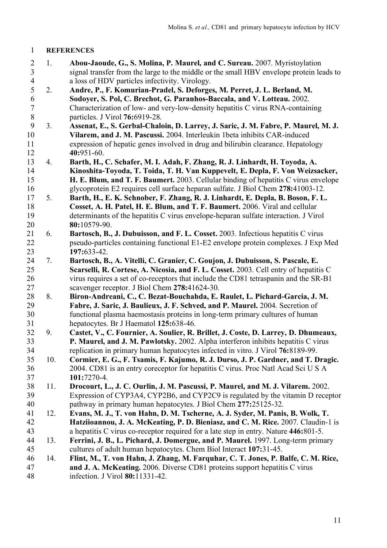### **REFERENCES**

- 1. **Abou-Jaoude, G., S. Molina, P. Maurel, and C. Sureau.** 2007. Myristoylation signal transfer from the large to the middle or the small HBV envelope protein leads to a loss of HDV particles infectivity. Virology.
- 2. **Andre, P., F. Komurian-Pradel, S. Deforges, M. Perret, J. L. Berland, M. Sodoyer, S. Pol, C. Brechot, G. Paranhos-Baccala, and V. Lotteau.** 2002. Characterization of low- and very-low-density hepatitis C virus RNA-containing 8 particles. J Virol **76:**6919-28.<br>9 3. **Assenat, E., S. Gerbal-Chalc**
- 3. **Assenat, E., S. Gerbal-Chaloin, D. Larrey, J. Saric, J. M. Fabre, P. Maurel, M. J. Vilarem, and J. M. Pascussi.** 2004. Interleukin 1beta inhibits CAR-induced expression of hepatic genes involved in drug and bilirubin clearance. Hepatology **40:**951-60.
- 4. **Barth, H., C. Schafer, M. I. Adah, F. Zhang, R. J. Linhardt, H. Toyoda, A. Kinoshita-Toyoda, T. Toida, T. H. Van Kuppevelt, E. Depla, F. Von Weizsacker, H. E. Blum, and T. F. Baumert.** 2003. Cellular binding of hepatitis C virus envelope glycoprotein E2 requires cell surface heparan sulfate. J Biol Chem **278:**41003-12.
- 5. **Barth, H., E. K. Schnober, F. Zhang, R. J. Linhardt, E. Depla, B. Boson, F. L. Cosset, A. H. Patel, H. E. Blum, and T. F. Baumert.** 2006. Viral and cellular determinants of the hepatitis C virus envelope-heparan sulfate interaction. J Virol **80:**10579-90.
- 6. **Bartosch, B., J. Dubuisson, and F. L. Cosset.** 2003. Infectious hepatitis C virus pseudo-particles containing functional E1-E2 envelope protein complexes. J Exp Med **197:**633-42.
- 7. **Bartosch, B., A. Vitelli, C. Granier, C. Goujon, J. Dubuisson, S. Pascale, E. Scarselli, R. Cortese, A. Nicosia, and F. L. Cosset.** 2003. Cell entry of hepatitis C virus requires a set of co-receptors that include the CD81 tetraspanin and the SR-B1 scavenger receptor. J Biol Chem **278:**41624-30.
- 8. **Biron-Andreani, C., C. Bezat-Bouchahda, E. Raulet, L. Pichard-Garcia, J. M. Fabre, J. Saric, J. Baulieux, J. F. Schved, and P. Maurel.** 2004. Secretion of functional plasma haemostasis proteins in long-term primary cultures of human hepatocytes. Br J Haematol **125:**638-46.
- 9. **Castet, V., C. Fournier, A. Soulier, R. Brillet, J. Coste, D. Larrey, D. Dhumeaux, P. Maurel, and J. M. Pawlotsky.** 2002. Alpha interferon inhibits hepatitis C virus replication in primary human hepatocytes infected in vitro. J Virol **76:**8189-99.
- 10. **Cormier, E. G., F. Tsamis, F. Kajumo, R. J. Durso, J. P. Gardner, and T. Dragic.** 2004. CD81 is an entry coreceptor for hepatitis C virus. Proc Natl Acad Sci U S A **101:**7270-4.
- 11. **Drocourt, L., J. C. Ourlin, J. M. Pascussi, P. Maurel, and M. J. Vilarem.** 2002. Expression of CYP3A4, CYP2B6, and CYP2C9 is regulated by the vitamin D receptor pathway in primary human hepatocytes. J Biol Chem **277:**25125-32.
- 12. **Evans, M. J., T. von Hahn, D. M. Tscherne, A. J. Syder, M. Panis, B. Wolk, T. Hatziioannou, J. A. McKeating, P. D. Bieniasz, and C. M. Rice.** 2007. Claudin-1 is a hepatitis C virus co-receptor required for a late step in entry. Nature **446:**801-5.
- 13. **Ferrini, J. B., L. Pichard, J. Domergue, and P. Maurel.** 1997. Long-term primary cultures of adult human hepatocytes. Chem Biol Interact **107:**31-45.
- 14. **Flint, M., T. von Hahn, J. Zhang, M. Farquhar, C. T. Jones, P. Balfe, C. M. Rice, and J. A. McKeating.** 2006. Diverse CD81 proteins support hepatitis C virus infection. J Virol **80:**11331-42.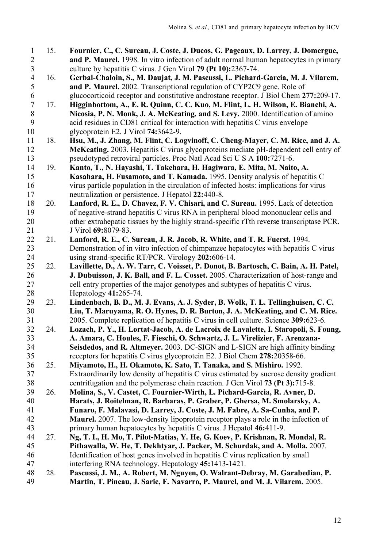- 15. **Fournier, C., C. Sureau, J. Coste, J. Ducos, G. Pageaux, D. Larrey, J. Domergue, and P. Maurel.** 1998. In vitro infection of adult normal human hepatocytes in primary culture by hepatitis C virus. J Gen Virol **79 (Pt 10):**2367-74.
- 16. **Gerbal-Chaloin, S., M. Daujat, J. M. Pascussi, L. Pichard-Garcia, M. J. Vilarem, and P. Maurel.** 2002. Transcriptional regulation of CYP2C9 gene. Role of glucocorticoid receptor and constitutive androstane receptor. J Biol Chem **277:**209-17.
- 17. **Higginbottom, A., E. R. Quinn, C. C. Kuo, M. Flint, L. H. Wilson, E. Bianchi, A. Nicosia, P. N. Monk, J. A. McKeating, and S. Levy.** 2000. Identification of amino acid residues in CD81 critical for interaction with hepatitis C virus envelope glycoprotein E2. J Virol **74:**3642-9.
- 18. **Hsu, M., J. Zhang, M. Flint, C. Logvinoff, C. Cheng-Mayer, C. M. Rice, and J. A. McKeating.** 2003. Hepatitis C virus glycoproteins mediate pH-dependent cell entry of pseudotyped retroviral particles. Proc Natl Acad Sci U S A **100:**7271-6.
- 19. **Kanto, T., N. Hayashi, T. Takehara, H. Hagiwara, E. Mita, M. Naito, A. Kasahara, H. Fusamoto, and T. Kamada.** 1995. Density analysis of hepatitis C virus particle population in the circulation of infected hosts: implications for virus neutralization or persistence. J Hepatol **22:**440-8.
- 20. **Lanford, R. E., D. Chavez, F. V. Chisari, and C. Sureau.** 1995. Lack of detection of negative-strand hepatitis C virus RNA in peripheral blood mononuclear cells and other extrahepatic tissues by the highly strand-specific rTth reverse transcriptase PCR. J Virol **69:**8079-83.
- 21. **Lanford, R. E., C. Sureau, J. R. Jacob, R. White, and T. R. Fuerst.** 1994. Demonstration of in vitro infection of chimpanzee hepatocytes with hepatitis C virus using strand-specific RT/PCR. Virology **202:**606-14.
- 22. **Lavillette, D., A. W. Tarr, C. Voisset, P. Donot, B. Bartosch, C. Bain, A. H. Patel, J. Dubuisson, J. K. Ball, and F. L. Cosset.** 2005. Characterization of host-range and cell entry properties of the major genotypes and subtypes of hepatitis C virus. Hepatology **41:**265-74.
- 23. **Lindenbach, B. D., M. J. Evans, A. J. Syder, B. Wolk, T. L. Tellinghuisen, C. C. Liu, T. Maruyama, R. O. Hynes, D. R. Burton, J. A. McKeating, and C. M. Rice.** 2005. Complete replication of hepatitis C virus in cell culture. Science **309:**623-6.
- 24. **Lozach, P. Y., H. Lortat-Jacob, A. de Lacroix de Lavalette, I. Staropoli, S. Foung, A. Amara, C. Houles, F. Fieschi, O. Schwartz, J. L. Virelizier, F. Arenzana- Seisdedos, and R. Altmeyer.** 2003. DC-SIGN and L-SIGN are high affinity binding receptors for hepatitis C virus glycoprotein E2. J Biol Chem **278:**20358-66.
- 25. **Miyamoto, H., H. Okamoto, K. Sato, T. Tanaka, and S. Mishiro.** 1992. Extraordinarily low density of hepatitis C virus estimated by sucrose density gradient centrifugation and the polymerase chain reaction. J Gen Virol **73 (Pt 3):**715-8.
- 26. **Molina, S., V. Castet, C. Fournier-Wirth, L. Pichard-Garcia, R. Avner, D. Harats, J. Roitelman, R. Barbaras, P. Graber, P. Ghersa, M. Smolarsky, A. Funaro, F. Malavasi, D. Larrey, J. Coste, J. M. Fabre, A. Sa-Cunha, and P. Maurel.** 2007. The low-density lipoprotein receptor plays a role in the infection of primary human hepatocytes by hepatitis C virus. J Hepatol **46:**411-9.
- 27. **Ng, T. I., H. Mo, T. Pilot-Matias, Y. He, G. Koev, P. Krishnan, R. Mondal, R. Pithawalla, W. He, T. Dekhtyar, J. Packer, M. Schurdak, and A. Molla.** 2007. Identification of host genes involved in hepatitis C virus replication by small interfering RNA technology. Hepatology **45:**1413-1421.
- 28. **Pascussi, J. M., A. Robert, M. Nguyen, O. Walrant-Debray, M. Garabedian, P. Martin, T. Pineau, J. Saric, F. Navarro, P. Maurel, and M. J. Vilarem.** 2005.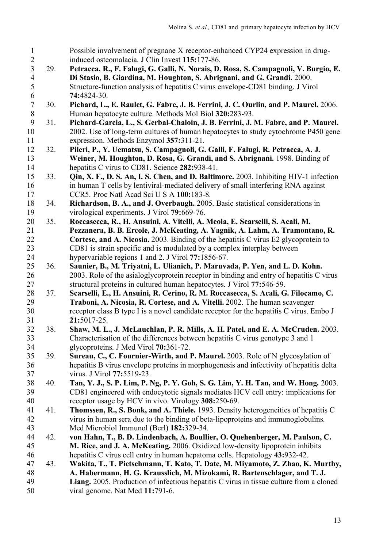Possible involvement of pregnane X receptor-enhanced CYP24 expression in drug- induced osteomalacia. J Clin Invest **115:**177-86. 29. **Petracca, R., F. Falugi, G. Galli, N. Norais, D. Rosa, S. Campagnoli, V. Burgio, E. Di Stasio, B. Giardina, M. Houghton, S. Abrignani, and G. Grandi.** 2000. Structure-function analysis of hepatitis C virus envelope-CD81 binding. J Virol **74:**4824-30. 30. **Pichard, L., E. Raulet, G. Fabre, J. B. Ferrini, J. C. Ourlin, and P. Maurel.** 2006. Human hepatocyte culture. Methods Mol Biol **320:**283-93. 31. **Pichard-Garcia, L., S. Gerbal-Chaloin, J. B. Ferrini, J. M. Fabre, and P. Maurel.** 2002. Use of long-term cultures of human hepatocytes to study cytochrome P450 gene expression. Methods Enzymol **357:**311-21. 32. **Pileri, P., Y. Uematsu, S. Campagnoli, G. Galli, F. Falugi, R. Petracca, A. J. Weiner, M. Houghton, D. Rosa, G. Grandi, and S. Abrignani.** 1998. Binding of hepatitis C virus to CD81. Science **282:**938-41. 33. **Qin, X. F., D. S. An, I. S. Chen, and D. Baltimore.** 2003. Inhibiting HIV-1 infection in human T cells by lentiviral-mediated delivery of small interfering RNA against CCR5. Proc Natl Acad Sci U S A **100:**183-8. 34. **Richardson, B. A., and J. Overbaugh.** 2005. Basic statistical considerations in virological experiments. J Virol **79:**669-76. 35. **Roccasecca, R., H. Ansuini, A. Vitelli, A. Meola, E. Scarselli, S. Acali, M. Pezzanera, B. B. Ercole, J. McKeating, A. Yagnik, A. Lahm, A. Tramontano, R. Cortese, and A. Nicosia.** 2003. Binding of the hepatitis C virus E2 glycoprotein to CD81 is strain specific and is modulated by a complex interplay between hypervariable regions 1 and 2. J Virol **77:**1856-67. 36. **Saunier, B., M. Triyatni, L. Ulianich, P. Maruvada, P. Yen, and L. D. Kohn.** 2003. Role of the asialoglycoprotein receptor in binding and entry of hepatitis C virus structural proteins in cultured human hepatocytes. J Virol **77:**546-59. 37. **Scarselli, E., H. Ansuini, R. Cerino, R. M. Roccasecca, S. Acali, G. Filocamo, C. Traboni, A. Nicosia, R. Cortese, and A. Vitelli.** 2002. The human scavenger receptor class B type I is a novel candidate receptor for the hepatitis C virus. Embo J **21:**5017-25. 38. **Shaw, M. L., J. McLauchlan, P. R. Mills, A. H. Patel, and E. A. McCruden.** 2003. Characterisation of the differences between hepatitis C virus genotype 3 and 1 glycoproteins. J Med Virol **70:**361-72. 39. **Sureau, C., C. Fournier-Wirth, and P. Maurel.** 2003. Role of N glycosylation of hepatitis B virus envelope proteins in morphogenesis and infectivity of hepatitis delta virus. J Virol **77:**5519-23. 38 40. Tan, Y. J., S. P. Lim, P. Ng, P. Y. Goh, S. G. Lim, Y. H. Tan, and W. Hong. 2003. CD81 engineered with endocytotic signals mediates HCV cell entry: implications for receptor usage by HCV in vivo. Virology **308:**250-69. 41. **Thomssen, R., S. Bonk, and A. Thiele.** 1993. Density heterogeneities of hepatitis C virus in human sera due to the binding of beta-lipoproteins and immunoglobulins. Med Microbiol Immunol (Berl) **182:**329-34. 42. **von Hahn, T., B. D. Lindenbach, A. Boullier, O. Quehenberger, M. Paulson, C. M. Rice, and J. A. McKeating.** 2006. Oxidized low-density lipoprotein inhibits hepatitis C virus cell entry in human hepatoma cells. Hepatology **43:**932-42. 43. **Wakita, T., T. Pietschmann, T. Kato, T. Date, M. Miyamoto, Z. Zhao, K. Murthy, A. Habermann, H. G. Krausslich, M. Mizokami, R. Bartenschlager, and T. J. Liang.** 2005. Production of infectious hepatitis C virus in tissue culture from a cloned viral genome. Nat Med **11:**791-6.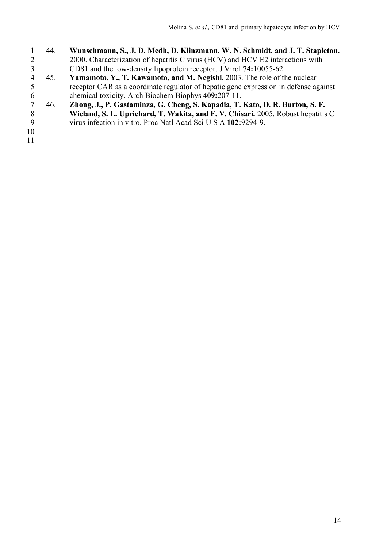- 44. **Wunschmann, S., J. D. Medh, D. Klinzmann, W. N. Schmidt, and J. T. Stapleton.** 2 2000. Characterization of hepatitis C virus (HCV) and HCV E2 interactions with<br>
2 2 2 2 2 2 3 4 45. Yamamoto, Y., T. Kawamoto, and M. Negishi. 2003. The role of the nuclear CD81 and the low-density lipoprotein receptor. J Virol **74:**10055-62.
- 45. **Yamamoto, Y., T. Kawamoto, and M. Negishi.** 2003. The role of the nuclear 5 receptor CAR as a coordinate regulator of hepatic gene expression in defense against<br>6 chemical toxicity. Arch Biochem Biophys 409:207-11. chemical toxicity. Arch Biochem Biophys **409:**207-11.
- 46. **Zhong, J., P. Gastaminza, G. Cheng, S. Kapadia, T. Kato, D. R. Burton, S. F. Wieland, S. L. Uprichard, T. Wakita, and F. V. Chisari.** 2005. Robust hepatitis C virus infection in vitro. Proc Natl Acad Sci U S A **102:**9294-9.
- 
-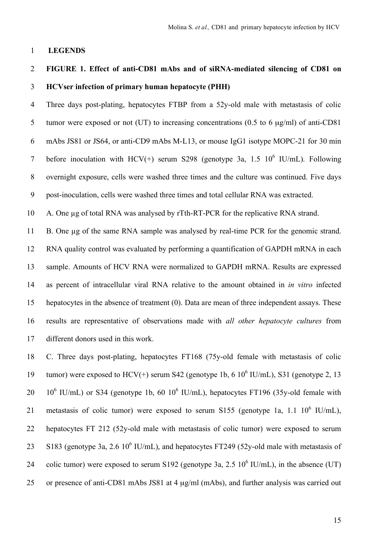#### **LEGENDS**

## **FIGURE 1. Effect of anti-CD81 mAbs and of siRNA-mediated silencing of CD81 on HCVser infection of primary human hepatocyte (PHH)**

 Three days post-plating, hepatocytes FTBP from a 52y-old male with metastasis of colic tumor were exposed or not (UT) to increasing concentrations (0.5 to 6 µg/ml) of anti-CD81 mAbs JS81 or JS64, or anti-CD9 mAbs M-L13, or mouse IgG1 isotype MOPC-21 for 30 min 7 before inoculation with HCV(+) serum S298 (genotype 3a, 1.5  $10^6$  IU/mL). Following overnight exposure, cells were washed three times and the culture was continued. Five days post-inoculation, cells were washed three times and total cellular RNA was extracted.

A. One µg of total RNA was analysed by rTth-RT-PCR for the replicative RNA strand.

 B. One µg of the same RNA sample was analysed by real-time PCR for the genomic strand. RNA quality control was evaluated by performing a quantification of GAPDH mRNA in each sample. Amounts of HCV RNA were normalized to GAPDH mRNA. Results are expressed as percent of intracellular viral RNA relative to the amount obtained in *in vitro* infected hepatocytes in the absence of treatment (0). Data are mean of three independent assays. These results are representative of observations made with *all other hepatocyte cultures* from different donors used in this work.

 C. Three days post-plating, hepatocytes FT168 (75y-old female with metastasis of colic 19 tumor) were exposed to  $HCV(+)$  serum S42 (genotype 1b, 6  $10^6$  IU/mL), S31 (genotype 2, 13 20  $10^6$  IU/mL) or S34 (genotype 1b, 60  $10^6$  IU/mL), hepatocytes FT196 (35y-old female with 21 metastasis of colic tumor) were exposed to serum S155 (genotype 1a, 1.1  $10^6$  IU/mL), hepatocytes FT 212 (52y-old male with metastasis of colic tumor) were exposed to serum 23 S183 (genotype 3a, 2.6  $10^6$  IU/mL), and hepatocytes FT249 (52y-old male with metastasis of 24 colic tumor) were exposed to serum S192 (genotype 3a, 2.5  $10^6$  IU/mL), in the absence (UT) or presence of anti-CD81 mAbs JS81 at 4 µg/ml (mAbs), and further analysis was carried out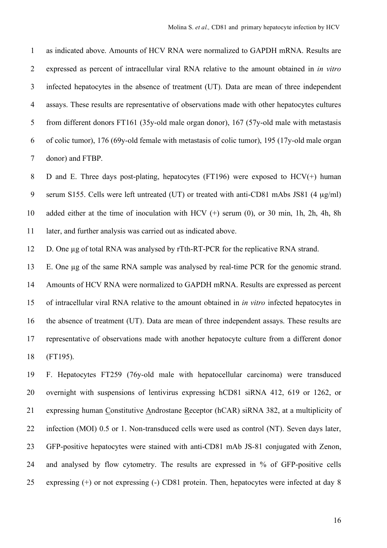as indicated above. Amounts of HCV RNA were normalized to GAPDH mRNA. Results are expressed as percent of intracellular viral RNA relative to the amount obtained in *in vitro* infected hepatocytes in the absence of treatment (UT). Data are mean of three independent assays. These results are representative of observations made with other hepatocytes cultures from different donors FT161 (35y-old male organ donor), 167 (57y-old male with metastasis of colic tumor), 176 (69y-old female with metastasis of colic tumor), 195 (17y-old male organ donor) and FTBP.

8 D and E. Three days post-plating, hepatocytes (FT196) were exposed to  $HCV(+)$  human serum S155. Cells were left untreated (UT) or treated with anti-CD81 mAbs JS81 (4 µg/ml) added either at the time of inoculation with HCV (+) serum (0), or 30 min, 1h, 2h, 4h, 8h 11 later, and further analysis was carried out as indicated above.

D. One µg of total RNA was analysed by rTth-RT-PCR for the replicative RNA strand.

 E. One µg of the same RNA sample was analysed by real-time PCR for the genomic strand. Amounts of HCV RNA were normalized to GAPDH mRNA. Results are expressed as percent of intracellular viral RNA relative to the amount obtained in *in vitro* infected hepatocytes in the absence of treatment (UT). Data are mean of three independent assays. These results are representative of observations made with another hepatocyte culture from a different donor (FT195).

 F. Hepatocytes FT259 (76y-old male with hepatocellular carcinoma) were transduced overnight with suspensions of lentivirus expressing hCD81 siRNA 412, 619 or 1262, or expressing human Constitutive Androstane Receptor (hCAR) siRNA 382, at a multiplicity of infection (MOI) 0.5 or 1. Non-transduced cells were used as control (NT). Seven days later, GFP-positive hepatocytes were stained with anti-CD81 mAb JS-81 conjugated with Zenon, and analysed by flow cytometry. The results are expressed in % of GFP-positive cells expressing (+) or not expressing (-) CD81 protein. Then, hepatocytes were infected at day 8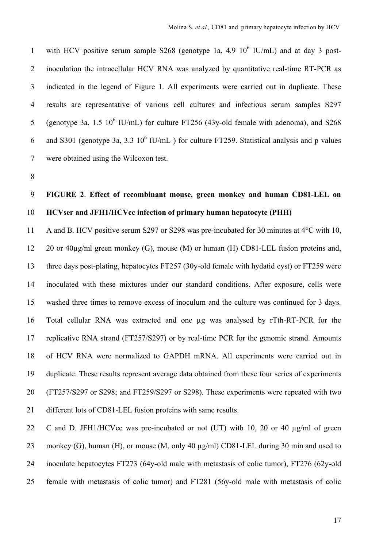1 with HCV positive serum sample S268 (genotype 1a, 4.9  $10^6$  IU/mL) and at day 3 post- inoculation the intracellular HCV RNA was analyzed by quantitative real-time RT-PCR as indicated in the legend of Figure 1. All experiments were carried out in duplicate. These results are representative of various cell cultures and infectious serum samples S297 5 (genotype 3a, 1.5  $10^6$  IU/mL) for culture FT256 (43y-old female with adenoma), and S268 6 and S301 (genotype 3a, 3.3  $10^6$  IU/mL) for culture FT259. Statistical analysis and p values were obtained using the Wilcoxon test.

## **FIGURE 2**. **Effect of recombinant mouse, green monkey and human CD81-LEL on HCVser and JFH1/HCVcc infection of primary human hepatocyte (PHH)**

 A and B. HCV positive serum S297 or S298 was pre-incubated for 30 minutes at 4°C with 10, 20 or 40µg/ml green monkey (G), mouse (M) or human (H) CD81-LEL fusion proteins and, three days post-plating, hepatocytes FT257 (30y-old female with hydatid cyst) or FT259 were inoculated with these mixtures under our standard conditions. After exposure, cells were washed three times to remove excess of inoculum and the culture was continued for 3 days. Total cellular RNA was extracted and one µg was analysed by rTth-RT-PCR for the replicative RNA strand (FT257/S297) or by real-time PCR for the genomic strand. Amounts of HCV RNA were normalized to GAPDH mRNA. All experiments were carried out in duplicate. These results represent average data obtained from these four series of experiments (FT257/S297 or S298; and FT259/S297 or S298). These experiments were repeated with two different lots of CD81-LEL fusion proteins with same results.

22 C and D. JFH1/HCVcc was pre-incubated or not (UT) with 10, 20 or 40  $\mu$ g/ml of green 23 monkey (G), human (H), or mouse (M, only 40  $\mu$ g/ml) CD81-LEL during 30 min and used to inoculate hepatocytes FT273 (64y-old male with metastasis of colic tumor), FT276 (62y-old female with metastasis of colic tumor) and FT281 (56y-old male with metastasis of colic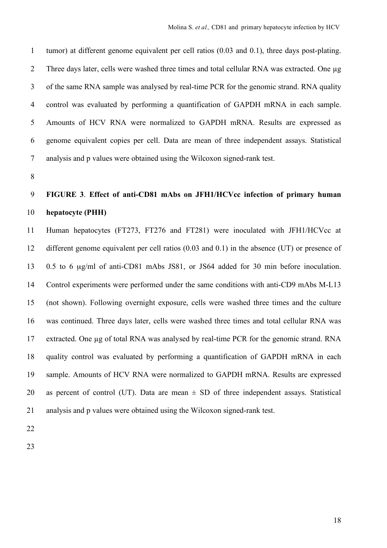tumor) at different genome equivalent per cell ratios (0.03 and 0.1), three days post-plating. 2 Three days later, cells were washed three times and total cellular RNA was extracted. One ug of the same RNA sample was analysed by real-time PCR for the genomic strand. RNA quality control was evaluated by performing a quantification of GAPDH mRNA in each sample. Amounts of HCV RNA were normalized to GAPDH mRNA. Results are expressed as genome equivalent copies per cell. Data are mean of three independent assays. Statistical analysis and p values were obtained using the Wilcoxon signed-rank test.

## **FIGURE 3**. **Effect of anti-CD81 mAbs on JFH1/HCVcc infection of primary human hepatocyte (PHH)**

 Human hepatocytes (FT273, FT276 and FT281) were inoculated with JFH1/HCVcc at different genome equivalent per cell ratios (0.03 and 0.1) in the absence (UT) or presence of 0.5 to 6 µg/ml of anti-CD81 mAbs JS81, or JS64 added for 30 min before inoculation. Control experiments were performed under the same conditions with anti-CD9 mAbs M-L13 (not shown). Following overnight exposure, cells were washed three times and the culture was continued. Three days later, cells were washed three times and total cellular RNA was extracted. One µg of total RNA was analysed by real-time PCR for the genomic strand. RNA quality control was evaluated by performing a quantification of GAPDH mRNA in each sample. Amounts of HCV RNA were normalized to GAPDH mRNA. Results are expressed 20 as percent of control (UT). Data are mean  $\pm$  SD of three independent assays. Statistical analysis and p values were obtained using the Wilcoxon signed-rank test.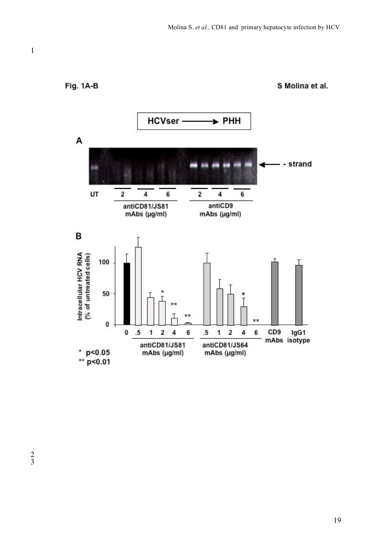**Fig. 1A-B** 

S Molina et al.

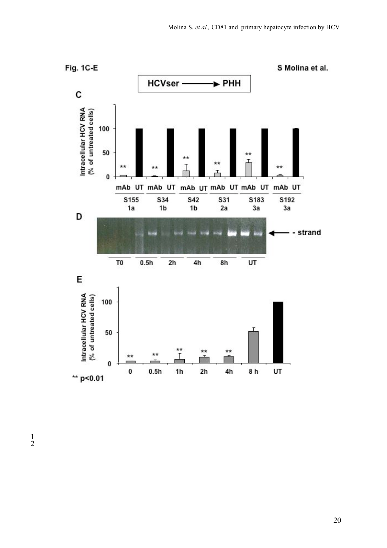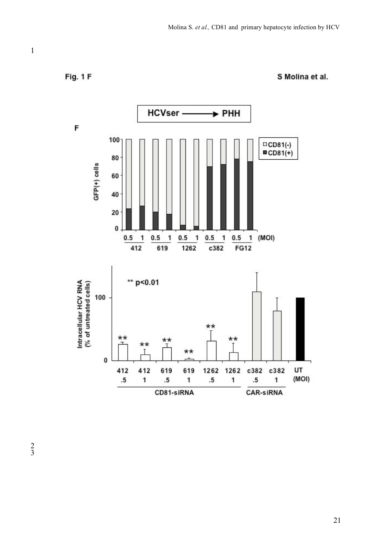Fig. 1F



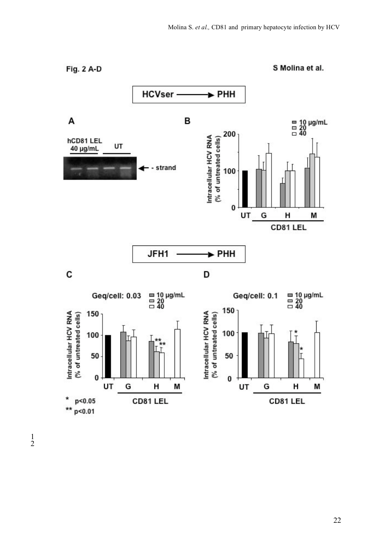